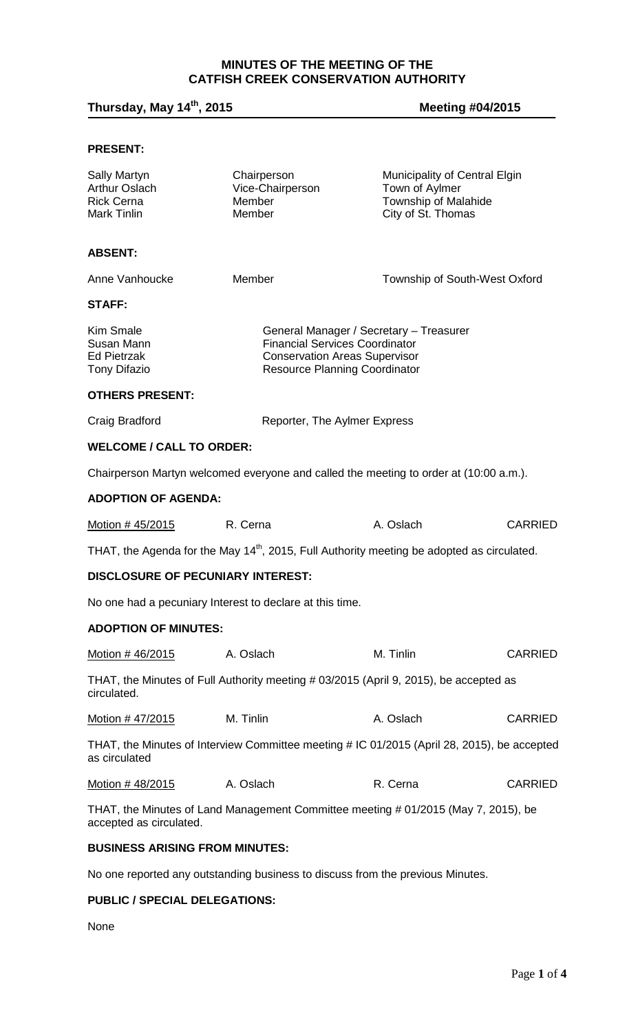# **MINUTES OF THE MEETING OF THE CATFISH CREEK CONSERVATION AUTHORITY**

# **Thursday, May 14th, 2015 Meeting #04/2015**

# **PRESENT:**

| <b>Sally Martyn</b><br><b>Arthur Oslach</b><br><b>Rick Cerna</b><br><b>Mark Tinlin</b>                        | Chairperson<br>Vice-Chairperson<br>Member<br>Member                                                                                                              | Municipality of Central Elgin<br>Town of Aylmer<br><b>Township of Malahide</b><br>City of St. Thomas |                |  |
|---------------------------------------------------------------------------------------------------------------|------------------------------------------------------------------------------------------------------------------------------------------------------------------|------------------------------------------------------------------------------------------------------|----------------|--|
| <b>ABSENT:</b>                                                                                                |                                                                                                                                                                  |                                                                                                      |                |  |
| Anne Vanhoucke                                                                                                | Member                                                                                                                                                           | Township of South-West Oxford                                                                        |                |  |
| <b>STAFF:</b>                                                                                                 |                                                                                                                                                                  |                                                                                                      |                |  |
| <b>Kim Smale</b><br>Susan Mann<br><b>Ed Pietrzak</b><br><b>Tony Difazio</b>                                   | General Manager / Secretary - Treasurer<br><b>Financial Services Coordinator</b><br><b>Conservation Areas Supervisor</b><br><b>Resource Planning Coordinator</b> |                                                                                                      |                |  |
| <b>OTHERS PRESENT:</b>                                                                                        |                                                                                                                                                                  |                                                                                                      |                |  |
| Craig Bradford                                                                                                | Reporter, The Aylmer Express                                                                                                                                     |                                                                                                      |                |  |
| <b>WELCOME / CALL TO ORDER:</b>                                                                               |                                                                                                                                                                  |                                                                                                      |                |  |
|                                                                                                               | Chairperson Martyn welcomed everyone and called the meeting to order at (10:00 a.m.).                                                                            |                                                                                                      |                |  |
| <b>ADOPTION OF AGENDA:</b>                                                                                    |                                                                                                                                                                  |                                                                                                      |                |  |
| Motion # 45/2015                                                                                              | R. Cerna                                                                                                                                                         | A. Oslach                                                                                            | <b>CARRIED</b> |  |
|                                                                                                               | THAT, the Agenda for the May 14 <sup>th</sup> , 2015, Full Authority meeting be adopted as circulated.                                                           |                                                                                                      |                |  |
| <b>DISCLOSURE OF PECUNIARY INTEREST:</b>                                                                      |                                                                                                                                                                  |                                                                                                      |                |  |
| No one had a pecuniary Interest to declare at this time.                                                      |                                                                                                                                                                  |                                                                                                      |                |  |
| <b>ADOPTION OF MINUTES:</b>                                                                                   |                                                                                                                                                                  |                                                                                                      |                |  |
| Motion # 46/2015                                                                                              | A. Oslach                                                                                                                                                        | M. Tinlin                                                                                            | <b>CARRIED</b> |  |
| circulated.                                                                                                   | THAT, the Minutes of Full Authority meeting # 03/2015 (April 9, 2015), be accepted as                                                                            |                                                                                                      |                |  |
| Motion # 47/2015                                                                                              | M. Tinlin                                                                                                                                                        | A. Oslach                                                                                            | <b>CARRIED</b> |  |
| as circulated                                                                                                 | THAT, the Minutes of Interview Committee meeting # IC 01/2015 (April 28, 2015), be accepted                                                                      |                                                                                                      |                |  |
| Motion # 48/2015                                                                                              | A. Oslach                                                                                                                                                        | R. Cerna                                                                                             | <b>CARRIED</b> |  |
| THAT, the Minutes of Land Management Committee meeting # 01/2015 (May 7, 2015), be<br>accepted as circulated. |                                                                                                                                                                  |                                                                                                      |                |  |
| <b>BUSINESS ARISING FROM MINUTES:</b>                                                                         |                                                                                                                                                                  |                                                                                                      |                |  |
|                                                                                                               | No one reported any outstanding business to discuss from the previous Minutes.                                                                                   |                                                                                                      |                |  |

# **PUBLIC / SPECIAL DELEGATIONS:**

None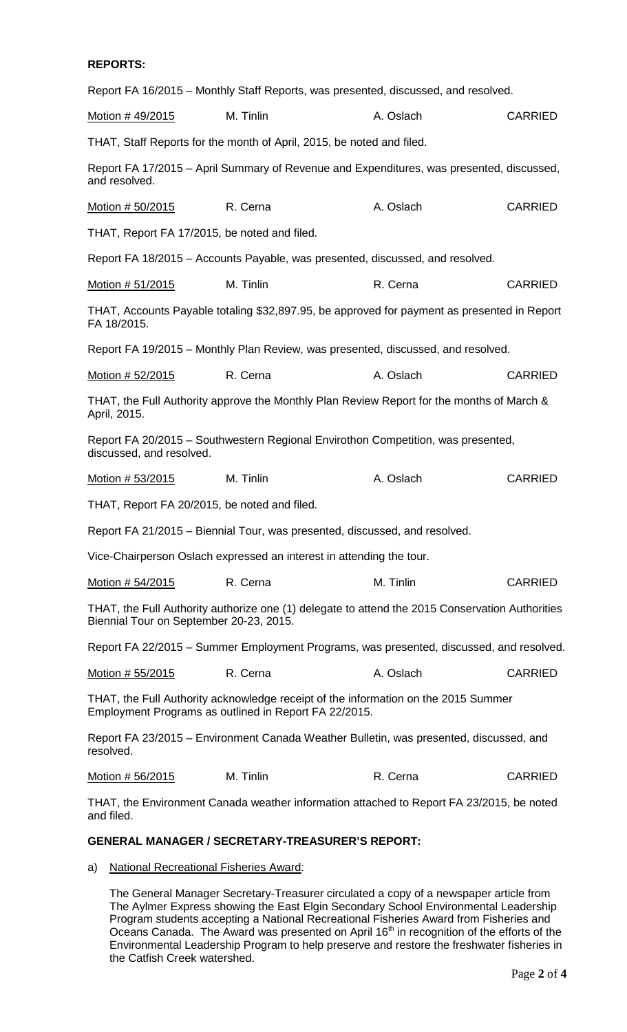#### **REPORTS:**

| Report FA 16/2015 - Monthly Staff Reports, was presented, discussed, and resolved.                                                          |           |           |                |  |  |
|---------------------------------------------------------------------------------------------------------------------------------------------|-----------|-----------|----------------|--|--|
| Motion #49/2015                                                                                                                             | M. Tinlin | A. Oslach | <b>CARRIED</b> |  |  |
| THAT, Staff Reports for the month of April, 2015, be noted and filed.                                                                       |           |           |                |  |  |
| Report FA 17/2015 - April Summary of Revenue and Expenditures, was presented, discussed,<br>and resolved.                                   |           |           |                |  |  |
| Motion # 50/2015                                                                                                                            | R. Cerna  | A. Oslach | <b>CARRIED</b> |  |  |
| THAT, Report FA 17/2015, be noted and filed.                                                                                                |           |           |                |  |  |
| Report FA 18/2015 – Accounts Payable, was presented, discussed, and resolved.                                                               |           |           |                |  |  |
| Motion # 51/2015                                                                                                                            | M. Tinlin | R. Cerna  | <b>CARRIED</b> |  |  |
| THAT, Accounts Payable totaling \$32,897.95, be approved for payment as presented in Report<br>FA 18/2015.                                  |           |           |                |  |  |
| Report FA 19/2015 – Monthly Plan Review, was presented, discussed, and resolved.                                                            |           |           |                |  |  |
| Motion # 52/2015                                                                                                                            | R. Cerna  | A. Oslach | <b>CARRIED</b> |  |  |
| THAT, the Full Authority approve the Monthly Plan Review Report for the months of March &<br>April, 2015.                                   |           |           |                |  |  |
| Report FA 20/2015 - Southwestern Regional Envirothon Competition, was presented,<br>discussed, and resolved.                                |           |           |                |  |  |
| Motion # 53/2015                                                                                                                            | M. Tinlin | A. Oslach | <b>CARRIED</b> |  |  |
| THAT, Report FA 20/2015, be noted and filed.                                                                                                |           |           |                |  |  |
| Report FA 21/2015 - Biennial Tour, was presented, discussed, and resolved.                                                                  |           |           |                |  |  |
| Vice-Chairperson Oslach expressed an interest in attending the tour.                                                                        |           |           |                |  |  |
| Motion # 54/2015                                                                                                                            | R. Cerna  | M. Tinlin | <b>CARRIED</b> |  |  |
| THAT, the Full Authority authorize one (1) delegate to attend the 2015 Conservation Authorities<br>Biennial Tour on September 20-23, 2015.  |           |           |                |  |  |
| Report FA 22/2015 – Summer Employment Programs, was presented, discussed, and resolved.                                                     |           |           |                |  |  |
| <u>Motion # 55/2015</u>                                                                                                                     | R. Cerna  | A. Oslach | <b>CARRIED</b> |  |  |
| THAT, the Full Authority acknowledge receipt of the information on the 2015 Summer<br>Employment Programs as outlined in Report FA 22/2015. |           |           |                |  |  |
| Report FA 23/2015 - Environment Canada Weather Bulletin, was presented, discussed, and<br>resolved.                                         |           |           |                |  |  |

Motion # 56/2015 M. Tinlin R. Cerna CARRIED

THAT, the Environment Canada weather information attached to Report FA 23/2015, be noted and filed.

#### **GENERAL MANAGER / SECRETARY-TREASURER'S REPORT:**

a) National Recreational Fisheries Award:

The General Manager Secretary-Treasurer circulated a copy of a newspaper article from The Aylmer Express showing the East Elgin Secondary School Environmental Leadership Program students accepting a National Recreational Fisheries Award from Fisheries and Oceans Canada. The Award was presented on April 16<sup>th</sup> in recognition of the efforts of the Environmental Leadership Program to help preserve and restore the freshwater fisheries in the Catfish Creek watershed.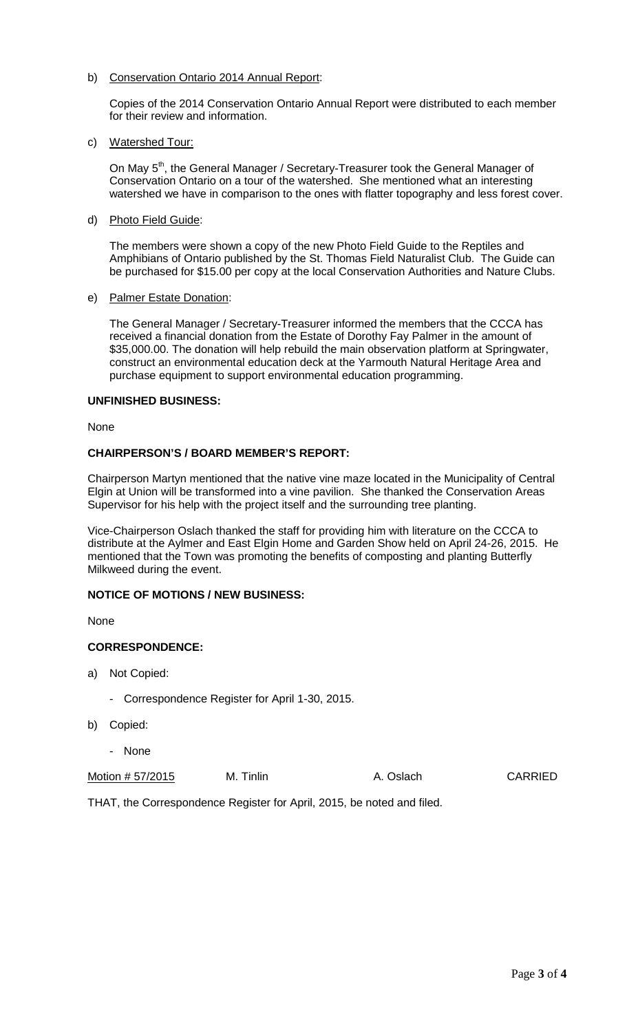# b) Conservation Ontario 2014 Annual Report:

Copies of the 2014 Conservation Ontario Annual Report were distributed to each member for their review and information.

# c) Watershed Tour:

On May 5<sup>th</sup>, the General Manager / Secretary-Treasurer took the General Manager of Conservation Ontario on a tour of the watershed. She mentioned what an interesting watershed we have in comparison to the ones with flatter topography and less forest cover.

# d) Photo Field Guide:

The members were shown a copy of the new Photo Field Guide to the Reptiles and Amphibians of Ontario published by the St. Thomas Field Naturalist Club. The Guide can be purchased for \$15.00 per copy at the local Conservation Authorities and Nature Clubs.

# e) Palmer Estate Donation:

The General Manager / Secretary-Treasurer informed the members that the CCCA has received a financial donation from the Estate of Dorothy Fay Palmer in the amount of \$35,000.00. The donation will help rebuild the main observation platform at Springwater, construct an environmental education deck at the Yarmouth Natural Heritage Area and purchase equipment to support environmental education programming.

# **UNFINISHED BUSINESS:**

None

# **CHAIRPERSON'S / BOARD MEMBER'S REPORT:**

Chairperson Martyn mentioned that the native vine maze located in the Municipality of Central Elgin at Union will be transformed into a vine pavilion. She thanked the Conservation Areas Supervisor for his help with the project itself and the surrounding tree planting.

Vice-Chairperson Oslach thanked the staff for providing him with literature on the CCCA to distribute at the Aylmer and East Elgin Home and Garden Show held on April 24-26, 2015. He mentioned that the Town was promoting the benefits of composting and planting Butterfly Milkweed during the event.

# **NOTICE OF MOTIONS / NEW BUSINESS:**

**None** 

# **CORRESPONDENCE:**

- a) Not Copied:
	- Correspondence Register for April 1-30, 2015.
- b) Copied:
	- None

Motion # 57/2015 M. Tinlin A. Oslach CARRIED

THAT, the Correspondence Register for April, 2015, be noted and filed.